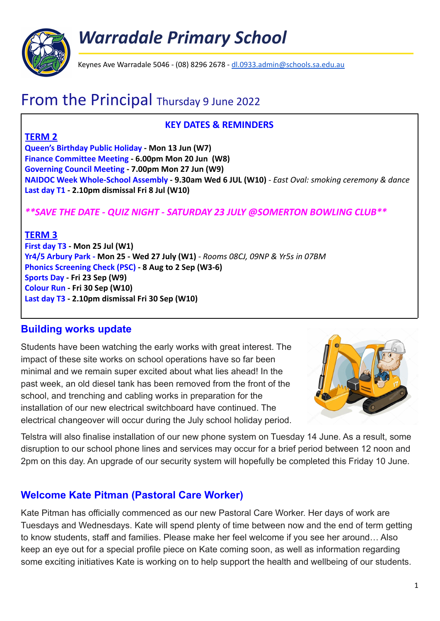

*Warradale Primary School*

Keynes Ave Warradale 5046 - (08) 8296 2678 - [dl.0933.admin@schools.sa.edu.au](mailto:dl.0933.admin@schools.sa.edu.au)

# From the Principal Thursday 9 June 2022

#### **KEY DATES & REMINDERS**

### **TERM 2**

**Queen's Birthday Public Holiday - Mon 13 Jun (W7) Finance Committee Meeting - 6.00pm Mon 20 Jun (W8) Governing Council Meeting - 7.00pm Mon 27 Jun (W9) NAIDOC Week Whole-School Assembly - 9.30am Wed 6 JUL (W10)** *- East Oval: smoking ceremony & dance* **Last day T1 - 2.10pm dismissal Fri 8 Jul (W10)**

## *\*\*SAVE THE DATE - QUIZ NIGHT - SATURDAY 23 JULY @SOMERTON BOWLING CLUB\*\**

### **TERM 3**

**First day T3 - Mon 25 Jul (W1) Yr4/5 Arbury Park - Mon 25 - Wed 27 July (W1)** *- Rooms 08CJ, 09NP & Yr5s in 07BM* **Phonics Screening Check (PSC) - 8 Aug to 2 Sep (W3-6) Sports Day - Fri 23 Sep (W9) Colour Run - Fri 30 Sep (W10) Last day T3 - 2.10pm dismissal Fri 30 Sep (W10)**

### **Building works update**

Students have been watching the early works with great interest. The impact of these site works on school operations have so far been minimal and we remain super excited about what lies ahead! In the past week, an old diesel tank has been removed from the front of the school, and trenching and cabling works in preparation for the installation of our new electrical switchboard have continued. The electrical changeover will occur during the July school holiday period.



Telstra will also finalise installation of our new phone system on Tuesday 14 June. As a result, some disruption to our school phone lines and services may occur for a brief period between 12 noon and 2pm on this day. An upgrade of our security system will hopefully be completed this Friday 10 June.

# **Welcome Kate Pitman (Pastoral Care Worker)**

Kate Pitman has officially commenced as our new Pastoral Care Worker. Her days of work are Tuesdays and Wednesdays. Kate will spend plenty of time between now and the end of term getting to know students, staff and families. Please make her feel welcome if you see her around… Also keep an eye out for a special profile piece on Kate coming soon, as well as information regarding some exciting initiatives Kate is working on to help support the health and wellbeing of our students.